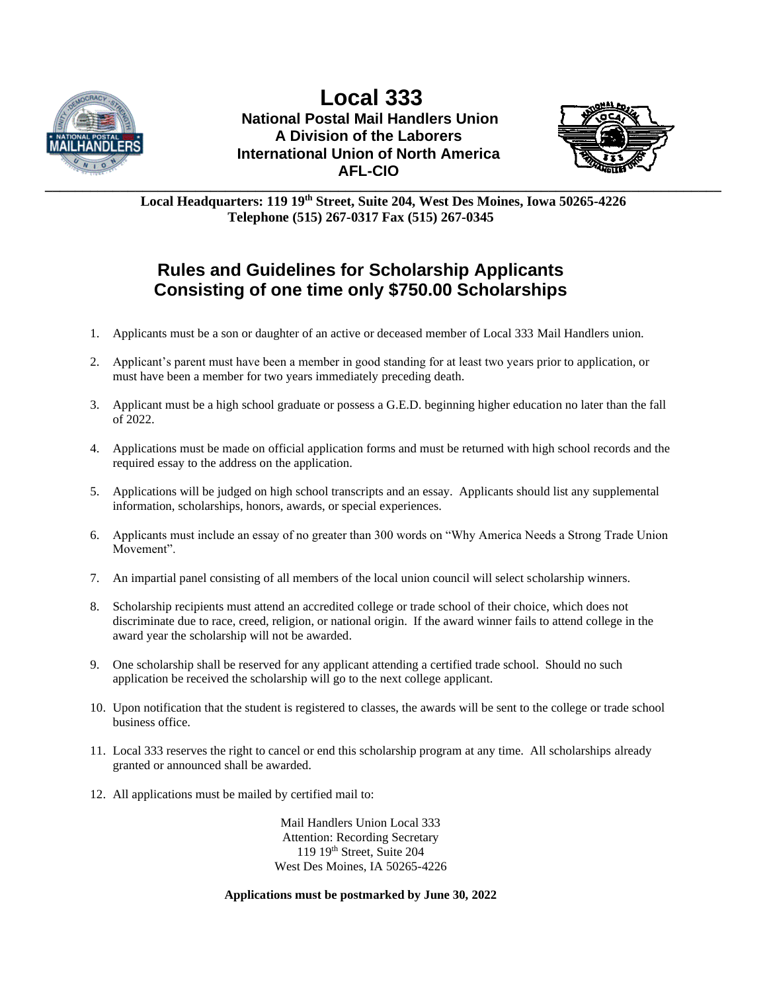

**\_\_\_\_\_\_\_\_\_\_\_\_\_\_\_\_\_\_\_\_\_\_\_\_\_\_\_\_\_\_\_\_\_\_\_\_\_\_\_\_\_\_\_\_\_\_\_\_\_\_\_\_\_\_\_\_\_\_\_\_\_\_\_\_\_\_\_\_\_\_\_\_\_\_\_\_\_\_\_\_\_\_\_\_\_\_\_\_\_\_ Local 333 National Postal Mail Handlers Union A Division of the Laborers International Union of North America AFL-CIO**



**Local Headquarters: 119 19 th Street, Suite 204, West Des Moines, Iowa 50265-4226 Telephone (515) 267-0317 Fax (515) 267-0345**

## **Rules and Guidelines for Scholarship Applicants Consisting of one time only \$750.00 Scholarships**

- 1. Applicants must be a son or daughter of an active or deceased member of Local 333 Mail Handlers union.
- 2. Applicant's parent must have been a member in good standing for at least two years prior to application, or must have been a member for two years immediately preceding death.
- 3. Applicant must be a high school graduate or possess a G.E.D. beginning higher education no later than the fall of 2022.
- 4. Applications must be made on official application forms and must be returned with high school records and the required essay to the address on the application.
- 5. Applications will be judged on high school transcripts and an essay. Applicants should list any supplemental information, scholarships, honors, awards, or special experiences.
- 6. Applicants must include an essay of no greater than 300 words on "Why America Needs a Strong Trade Union Movement".
- 7. An impartial panel consisting of all members of the local union council will select scholarship winners.
- 8. Scholarship recipients must attend an accredited college or trade school of their choice, which does not discriminate due to race, creed, religion, or national origin. If the award winner fails to attend college in the award year the scholarship will not be awarded.
- 9. One scholarship shall be reserved for any applicant attending a certified trade school. Should no such application be received the scholarship will go to the next college applicant.
- 10. Upon notification that the student is registered to classes, the awards will be sent to the college or trade school business office.
- 11. Local 333 reserves the right to cancel or end this scholarship program at any time. All scholarships already granted or announced shall be awarded.
- 12. All applications must be mailed by certified mail to:

Mail Handlers Union Local 333 Attention: Recording Secretary 119 19th Street, Suite 204 West Des Moines, IA 50265-4226

**Applications must be postmarked by June 30, 2022**